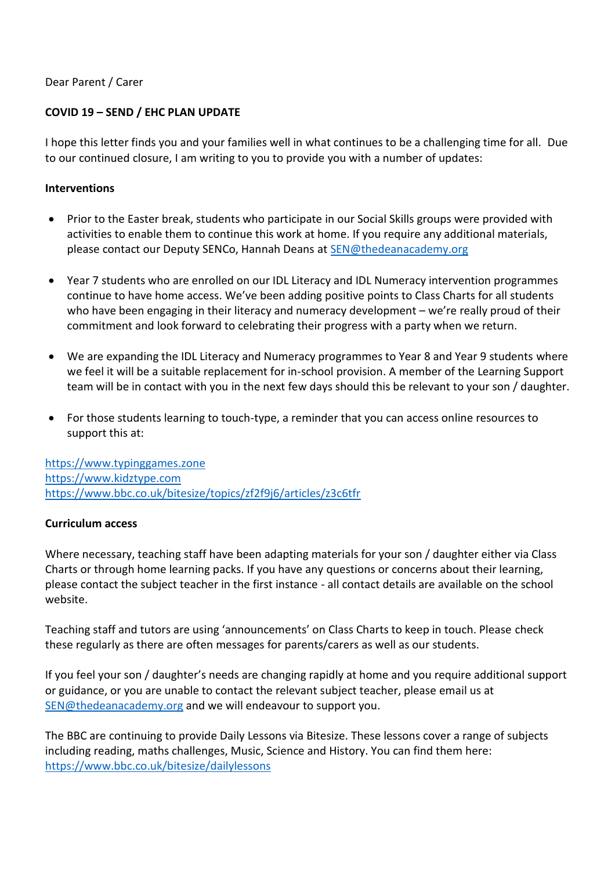#### Dear Parent / Carer

### **COVID 19 – SEND / EHC PLAN UPDATE**

I hope this letter finds you and your families well in what continues to be a challenging time for all. Due to our continued closure, I am writing to you to provide you with a number of updates:

#### **Interventions**

- Prior to the Easter break, students who participate in our Social Skills groups were provided with activities to enable them to continue this work at home. If you require any additional materials, please contact our Deputy SENCo, Hannah Deans at [SEN@thedeanacademy.org](mailto:SEN@thedeanacademy.org)
- Year 7 students who are enrolled on our IDL Literacy and IDL Numeracy intervention programmes continue to have home access. We've been adding positive points to Class Charts for all students who have been engaging in their literacy and numeracy development – we're really proud of their commitment and look forward to celebrating their progress with a party when we return.
- We are expanding the IDL Literacy and Numeracy programmes to Year 8 and Year 9 students where we feel it will be a suitable replacement for in-school provision. A member of the Learning Support team will be in contact with you in the next few days should this be relevant to your son / daughter.
- For those students learning to touch-type, a reminder that you can access online resources to support this at:

[https://www.typinggames.zone](https://www.typinggames.zone/) [https://www.kidztype.com](https://www.kidztype.com/) <https://www.bbc.co.uk/bitesize/topics/zf2f9j6/articles/z3c6tfr>

#### **Curriculum access**

Where necessary, teaching staff have been adapting materials for your son / daughter either via Class Charts or through home learning packs. If you have any questions or concerns about their learning, please contact the subject teacher in the first instance - all contact details are available on the school website.

Teaching staff and tutors are using 'announcements' on Class Charts to keep in touch. Please check these regularly as there are often messages for parents/carers as well as our students.

If you feel your son / daughter's needs are changing rapidly at home and you require additional support or guidance, or you are unable to contact the relevant subject teacher, please email us at [SEN@thedeanacademy.org](mailto:SEN@thedeanacademy.org) and we will endeavour to support you.

The BBC are continuing to provide Daily Lessons via Bitesize. These lessons cover a range of subjects including reading, maths challenges, Music, Science and History. You can find them here: <https://www.bbc.co.uk/bitesize/dailylessons>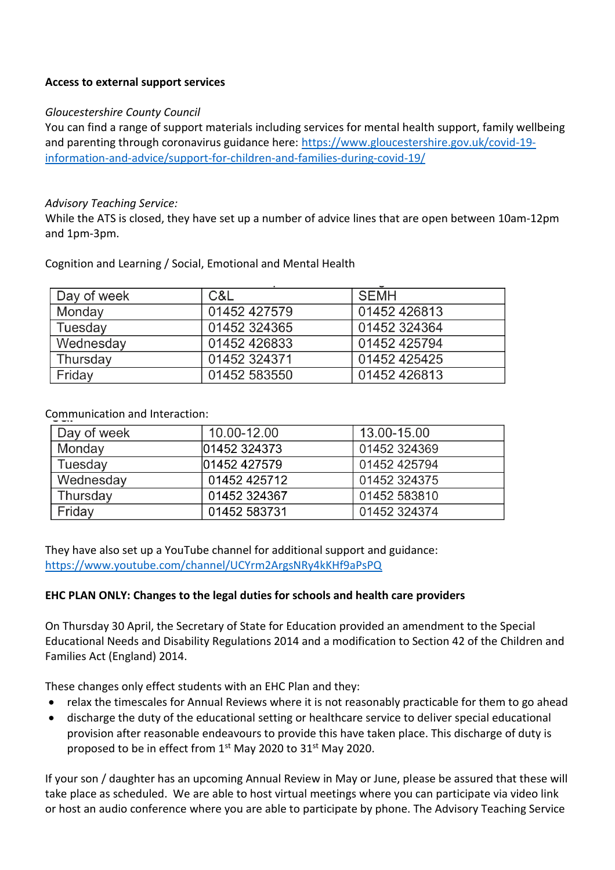## **Access to external support services**

## *Gloucestershire County Council*

You can find a range of support materials including services for mental health support, family wellbeing and parenting through coronavirus guidance here: [https://www.gloucestershire.gov.uk/covid-19](https://www.gloucestershire.gov.uk/covid-19-information-and-advice/support-for-children-and-families-during-covid-19/) [information-and-advice/support-for-children-and-families-during-covid-19/](https://www.gloucestershire.gov.uk/covid-19-information-and-advice/support-for-children-and-families-during-covid-19/)

### *Advisory Teaching Service:*

While the ATS is closed, they have set up a number of advice lines that are open between 10am-12pm and 1pm-3pm.

| Day of week | C&L          | SEMH         |
|-------------|--------------|--------------|
| Monday      | 01452 427579 | 01452 426813 |
| Tuesday     | 01452 324365 | 01452 324364 |
| Wednesday   | 01452 426833 | 01452 425794 |
| Thursday    | 01452 324371 | 01452 425425 |
| Friday      | 01452 583550 | 01452 426813 |

Cognition and Learning / Social, Emotional and Mental Health

# Communication and Interaction:

| Day of week | 10.00-12.00  | 13.00-15.00  |
|-------------|--------------|--------------|
| Monday      | 01452 324373 | 01452 324369 |
| Tuesday     | 01452 427579 | 01452 425794 |
| Wednesday   | 01452 425712 | 01452 324375 |
| Thursday    | 01452 324367 | 01452 583810 |
| Friday      | 01452 583731 | 01452 324374 |

They have also set up a YouTube channel for additional support and guidance: <https://www.youtube.com/channel/UCYrm2ArgsNRy4kKHf9aPsPQ>

## **EHC PLAN ONLY: Changes to the legal duties for schools and health care providers**

On Thursday 30 April, the Secretary of State for Education provided an amendment to the Special Educational Needs and Disability Regulations 2014 and a modification to Section 42 of the Children and Families Act (England) 2014.

These changes only effect students with an EHC Plan and they:

- relax the timescales for Annual Reviews where it is not reasonably practicable for them to go ahead
- discharge the duty of the educational setting or healthcare service to deliver special educational provision after reasonable endeavours to provide this have taken place. This discharge of duty is proposed to be in effect from  $1<sup>st</sup>$  May 2020 to 31 $<sup>st</sup>$  May 2020.</sup>

If your son / daughter has an upcoming Annual Review in May or June, please be assured that these will take place as scheduled. We are able to host virtual meetings where you can participate via video link or host an audio conference where you are able to participate by phone. The Advisory Teaching Service